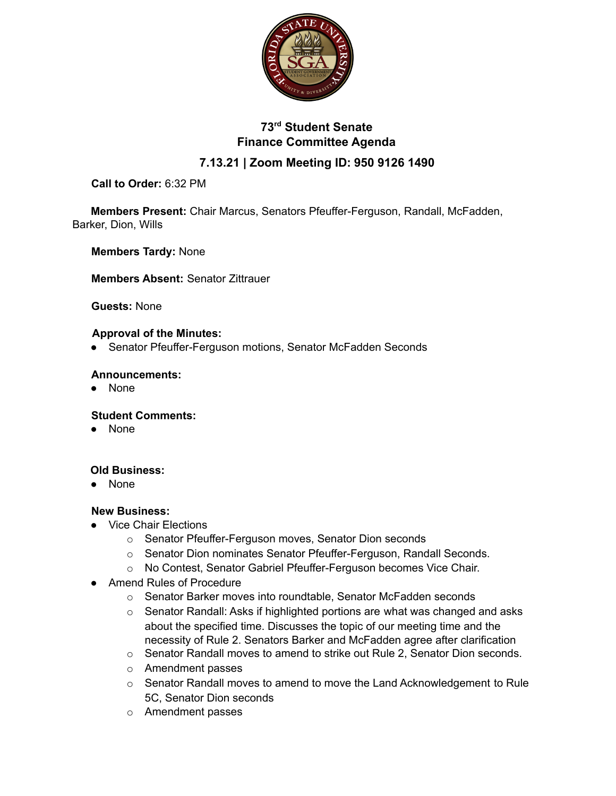

# **73rd Student Senate Finance Committee Agenda**

## **7.13.21 | Zoom Meeting ID: 950 9126 1490**

### **Call to Order:** 6:32 PM

**Members Present:** Chair Marcus, Senators Pfeuffer-Ferguson, Randall, McFadden, Barker, Dion, Wills

**Members Tardy:** None

**Members Absent:** Senator Zittrauer

#### **Guests:** None

#### **Approval of the Minutes:**

● Senator Pfeuffer-Ferguson motions, Senator McFadden Seconds

#### **Announcements:**

● None

#### **Student Comments:**

● None

#### **Old Business:**

● None

#### **New Business:**

- Vice Chair Elections
	- o Senator Pfeuffer-Ferguson moves, Senator Dion seconds
	- o Senator Dion nominates Senator Pfeuffer-Ferguson, Randall Seconds.
	- o No Contest, Senator Gabriel Pfeuffer-Ferguson becomes Vice Chair.
- Amend Rules of Procedure
	- o Senator Barker moves into roundtable, Senator McFadden seconds
	- o Senator Randall: Asks if highlighted portions are what was changed and asks about the specified time. Discusses the topic of our meeting time and the necessity of Rule 2. Senators Barker and McFadden agree after clarification
	- $\circ$  Senator Randall moves to amend to strike out Rule 2, Senator Dion seconds.
	- o Amendment passes
	- o Senator Randall moves to amend to move the Land Acknowledgement to Rule 5C, Senator Dion seconds
	- o Amendment passes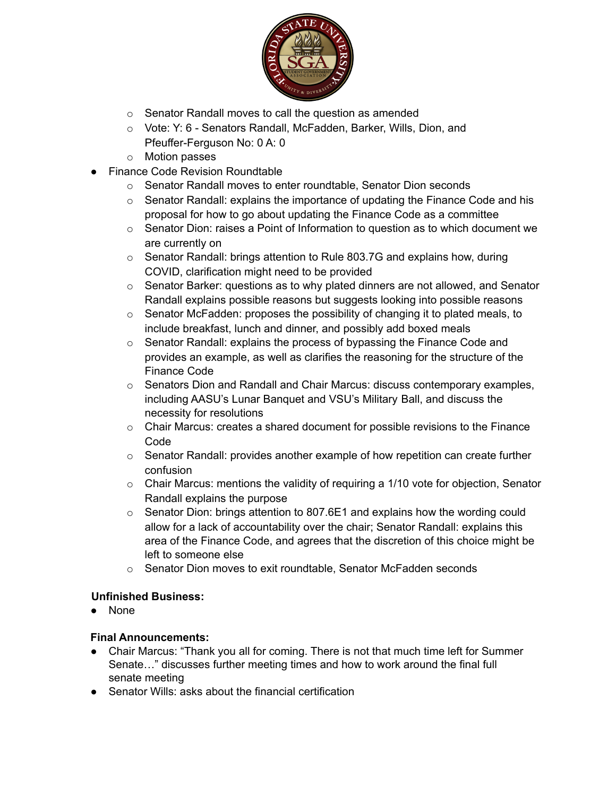

- o Senator Randall moves to call the question as amended
- o Vote: Y: 6 Senators Randall, McFadden, Barker, Wills, Dion, and Pfeuffer-Ferguson No: 0 A: 0
- o Motion passes
- **Finance Code Revision Roundtable** 
	- o Senator Randall moves to enter roundtable, Senator Dion seconds
	- $\circ$  Senator Randall: explains the importance of updating the Finance Code and his proposal for how to go about updating the Finance Code as a committee
	- $\circ$  Senator Dion: raises a Point of Information to question as to which document we are currently on
	- $\circ$  Senator Randall: brings attention to Rule 803.7G and explains how, during COVID, clarification might need to be provided
	- $\circ$  Senator Barker: questions as to why plated dinners are not allowed, and Senator Randall explains possible reasons but suggests looking into possible reasons
	- $\circ$  Senator McFadden: proposes the possibility of changing it to plated meals, to include breakfast, lunch and dinner, and possibly add boxed meals
	- o Senator Randall: explains the process of bypassing the Finance Code and provides an example, as well as clarifies the reasoning for the structure of the Finance Code
	- $\circ$  Senators Dion and Randall and Chair Marcus: discuss contemporary examples, including AASU's Lunar Banquet and VSU's Military Ball, and discuss the necessity for resolutions
	- $\circ$  Chair Marcus: creates a shared document for possible revisions to the Finance Code
	- $\circ$  Senator Randall: provides another example of how repetition can create further confusion
	- o Chair Marcus: mentions the validity of requiring a 1/10 vote for objection, Senator Randall explains the purpose
	- $\circ$  Senator Dion: brings attention to 807.6E1 and explains how the wording could allow for a lack of accountability over the chair; Senator Randall: explains this area of the Finance Code, and agrees that the discretion of this choice might be left to someone else
	- $\circ$  Senator Dion moves to exit roundtable, Senator McFadden seconds

#### **Unfinished Business:**

● None

#### **Final Announcements:**

- Chair Marcus: "Thank you all for coming. There is not that much time left for Summer Senate…" discusses further meeting times and how to work around the final full senate meeting
- Senator Wills: asks about the financial certification